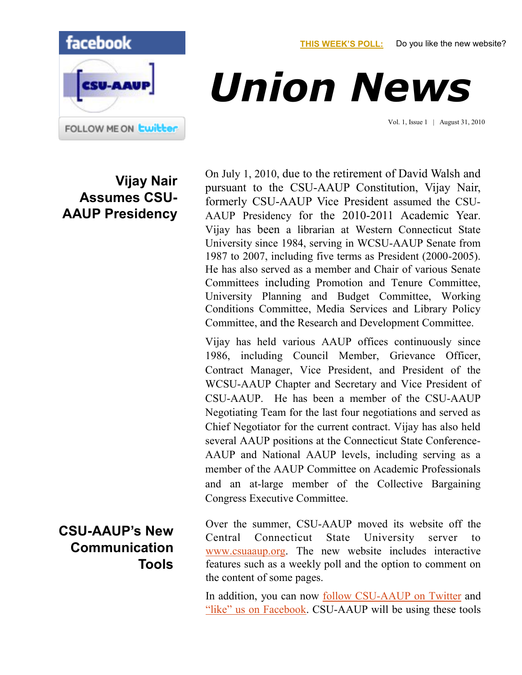**[THIS WEEK'S POLL:](http://www.csuaaup.org/)** Do you like the new website?



## *Union News*

Vol. 1, Issue 1 | August 31, 2010

## **Vijay Nair Assumes CSU-AAUP Presidency**

On July 1, 2010, due to the retirement of David Walsh and pursuant to the CSU-AAUP Constitution, Vijay Nair, formerly CSU-AAUP Vice President assumed the CSU-AAUP Presidency for the 2010-2011 Academic Year. Vijay has been a librarian at Western Connecticut State University since 1984, serving in WCSU-AAUP Senate from 1987 to 2007, including five terms as President (2000-2005). He has also served as a member and Chair of various Senate Committees including Promotion and Tenure Committee, University Planning and Budget Committee, Working Conditions Committee, Media Services and Library Policy Committee, and the Research and Development Committee.

Vijay has held various AAUP offices continuously since 1986, including Council Member, Grievance Officer, Contract Manager, Vice President, and President of the WCSU-AAUP Chapter and Secretary and Vice President of CSU-AAUP. He has been a member of the CSU-AAUP Negotiating Team for the last four negotiations and served as Chief Negotiator for the current contract. Vijay has also held several AAUP positions at the Connecticut State Conference-AAUP and National AAUP levels, including serving as a member of the AAUP Committee on Academic Professionals and an at-large member of the Collective Bargaining Congress Executive Committee.

Over the summer, CSU-AAUP moved its website off the Central Connecticut State University server [www.csuaaup.org.](http://www.csuaaup.org/) The new website includes interactive features such as a weekly poll and the option to comment on the content of some pages.

In addition, you can now [follow CSU-AAUP on Twitter](http://twitter.com/csuaaup) and ["like" us on Facebook](http://www.facebook.com/pages/CSU-AAUP/112907808749535?ref=sgm). CSU-AAUP will be using these tools

## **CSU-AAUP's New Communication Tools**